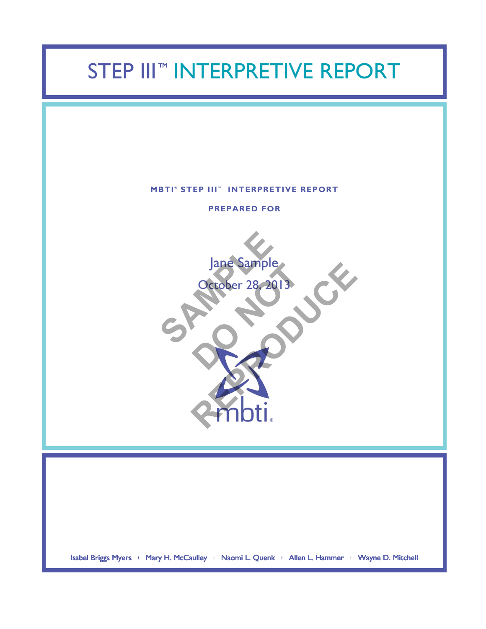# STEP III™ INTERPRETIVE REPORT

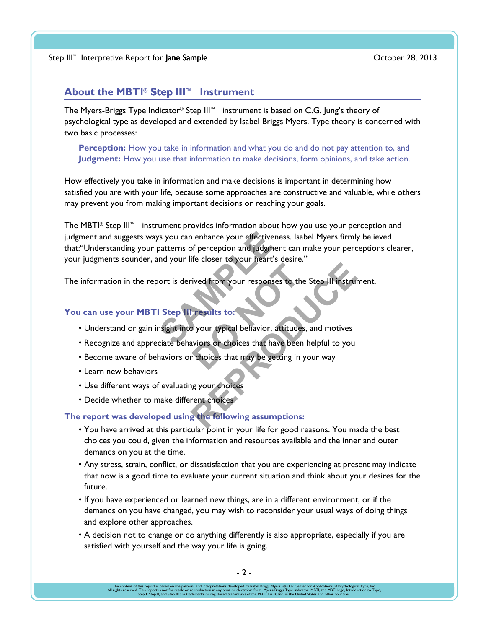#### **About the MBTI® Instrument**

The Myers-Briggs Type Indicator® Step III™ instrument is based on C.G. Jung's theory of psychological type as developed and extended by Isabel Briggs Myers. Type theory is concerned with two basic processes:

Perception: How you take in information and what you do and do not pay attention to, and **Judgment:** How you use that information to make decisions, form opinions, and take action.

How effectively you take in information and make decisions is important in determining how satisfied you are with your life, because some approaches are constructive and valuable, while others may prevent you from making important decisions or reaching your goals.

The MBTI® Step III™ instrument provides information about how you use your perception and judgment and suggests ways you can enhance your effectiveness. Isabel Myers firmly believed that:"Understanding your patterns of perception and judgment can make your perceptions clearer, your judgments sounder, and your life closer to your heart's desire." Solution Contrast of perception and judgment<br>
Statement of perception and judgment<br>
Statement is derived from your responses<br>
Statement of the Statement of Statement of the Statement of the<br>
Statement of the Statement of t

The information in the report is derived from your responses to the Step III instrument. ived from your responses to the<br> **Posuits to:**<br>
your typical behavior, attitudes,<br>
viors or choices that have been<br>
choices that may be getting in y The transfer of the Step III instruit<br>
The Step III instruit<br> **REPRODUCE STATE IN A STAR INTERNATION**<br> **REPRODUCE**<br> **REPRODUCE**<br> **REPRODUCE**<br> **REPRODUCE**<br> **REPRODUCE**<br> **REPRODUCE**<br> **REPRODUCE**<br> **REPRODUCE**<br> **REPRODUCE**<br> **R** 

#### **You can use your MBTI Step III results to:**

- Understand or gain insight into your typical behavior, attitudes, and motives
- Recognize and appreciate behaviors or choices that have been helpful to you
- Become aware of behaviors or choices that may be getting in your way
- Learn new behaviors
- Use different ways of evaluating your choices
- Decide whether to make different choices

#### **The report was developed using the following assumptions:**

- You have arrived at this particular point in your life for good reasons. You made the best choices you could, given the information and resources available and the inner and outer demands on you at the time.
- Any stress, strain, conflict, or dissatisfaction that you are experiencing at present may indicate that now is a good time to evaluate your current situation and think about your desires for the future.
- If you have experienced or learned new things, are in a different environment, or if the demands on you have changed, you may wish to reconsider your usual ways of doing things and explore other approaches.
- A decision not to change or do anything differently is also appropriate, especially if you are satisfied with yourself and the way your life is going.

The content of this report is based on the patterns and interpretations developed by Isabel Briggs Myers. ©2009 Center for Applications of Psychological Type, Inc.<br>All rights reserved. This report is not for resale or repr Step I, Step II, and Step III are trademarks or registered trademarks of the MBTI Trust, Inc. in the United States and other countries.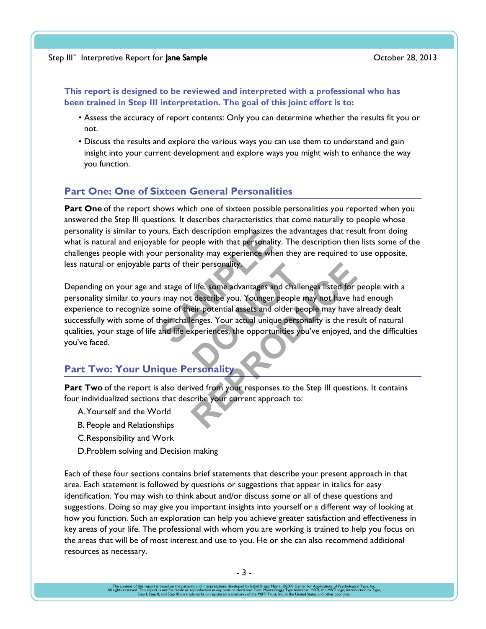**This report is designed to be reviewed and interpreted with a professional who has been trained in Step III interpretation. The goal of this joint effort is to:**

- Assess the accuracy of report contents: Only you can determine whether the results fit you or not.
- Discuss the results and explore the various ways you can use them to understand and gain insight into your current development and explore ways you might wish to enhance the way you function.

#### **Part One: One of Sixteen General Personalities**

**Part One** of the report shows which one of sixteen possible personalities you reported when you answered the Step III questions. It describes characteristics that come naturally to people whose personality is similar to yours. Each description emphasizes the advantages that result from doing what is natural and enjoyable for people with that personality. The description then lists some of the challenges people with your personality may experience when they are required to use opposite, less natural or enjoyable parts of their personality.

Depending on your age and stage of life, some advantages and challenges listed for people with a personality similar to yours may not describe you. Younger people may not have had enough experience to recognize some of their potential assets and older people may have already dealt successfully with some of their challenges. Your actual unique personality is the result of natural qualities, your stage of life and life experiences, the opportunities you've enjoyed, and the difficulties you've faced. Instant description emphasizes the for people with that personality<br>In personality may experience where<br>arts of their personality.<br>In stage of life, some advantages and<br>In stage of life, some advantages and of<br>their challe Fir personality<br>
life, some advantages and challer<br>
describe you. Younger people neir potential assets and older people<br>
enges. Your actual unique person<br>
speriences, the opportunities you Fire, some advantages and challenges listed for<br>
represent describe you. Younger people may not have have the potential assets and older people may have a<br>
renges. Your actual unique personality is the restance of the stat

#### **Part Two: Your Unique Personality**

**Part Two** of the report is also derived from your responses to the Step III questions. It contains four individualized sections that describe your current approach to:

- A.Yourself and the World
- B. People and Relationships
- C.Responsibility and Work
- D.Problem solving and Decision making

Each of these four sections contains brief statements that describe your present approach in that area. Each statement is followed by questions or suggestions that appear in italics for easy identification. You may wish to think about and/or discuss some or all of these questions and suggestions. Doing so may give you important insights into yourself or a different way of looking at how you function. Such an exploration can help you achieve greater satisfaction and effectiveness in key areas of your life. The professional with whom you are working is trained to help you focus on the areas that will be of most interest and use to you. He or she can also recommend additional resources as necessary.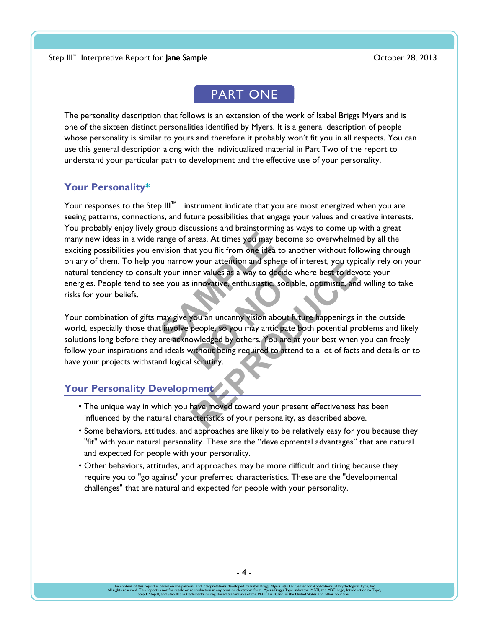# PART ONE

The personality description that follows is an extension of the work of Isabel Briggs Myers and is one of the sixteen distinct personalities identified by Myers. It is a general description of people whose personality is similar to yours and therefore it probably won't fit you in all respects. You can use this general description along with the individualized material in Part Two of the report to understand your particular path to development and the effective use of your personality.

#### **Your Personality\***

Your responses to the Step III™ instrument indicate that you are most energized when you are seeing patterns, connections, and future possibilities that engage your values and creative interests. You probably enjoy lively group discussions and brainstorming as ways to come up with a great many new ideas in a wide range of areas. At times you may become so overwhelmed by all the exciting possibilities you envision that you flit from one idea to another without following through on any of them. To help you narrow your attention and sphere of interest, you typically rely on your natural tendency to consult your inner values as a way to decide where best to devote your energies. People tend to see you as innovative, enthusiastic, sociable, optimistic, and willing to take risks for your beliefs. Figures 1.4 Three Seasons At times you may be<br>
invision that you flit from one idea to<br>
bu narrow your attention and sphere<br>
t your inner values as a way to dec<br>
ee you as innovative, enthusiastic, so<br>
may give you an unca

Your combination of gifts may give you an uncanny vision about future happenings in the outside world, especially those that involve people, so you may anticipate both potential problems and likely solutions long before they are acknowledged by others. You are at your best when you can freely follow your inspirations and ideals without being required to attend to a lot of facts and details or to have your projects withstand logical scrutiny. For values as a way to decide whe<br>innovative, enthusiastic, sociable,<br>innovative, enthusiastic, sociable,<br>ou an uncanny vision about future<br>people, so you may anticipate bo<br>will being required to attend the<br>scrutiny. **REPRODUCED STATES AND SERVIDE SERVIDE SERVIDE SERVIDE SERVIDE SERVIDE SERVIDE SERVIDE SPOND SPONDING SPONDING**<br> **REPRODUCED SPONDING SPONDING SPONDING SPONDING SPONDING SPONDING SPONDING SPONDING SPONDING SPONDING SPONDIN** 

## **Your Personality Development**

- The unique way in which you have moved toward your present effectiveness has been influenced by the natural characteristics of your personality, as described above.
- Some behaviors, attitudes, and approaches are likely to be relatively easy for you because they "fit" with your natural personality. These are the "developmental advantages" that are natural and expected for people with your personality.
- Other behaviors, attitudes, and approaches may be more difficult and tiring because they require you to "go against" your preferred characteristics. These are the "developmental challenges" that are natural and expected for people with your personality.

 $-4$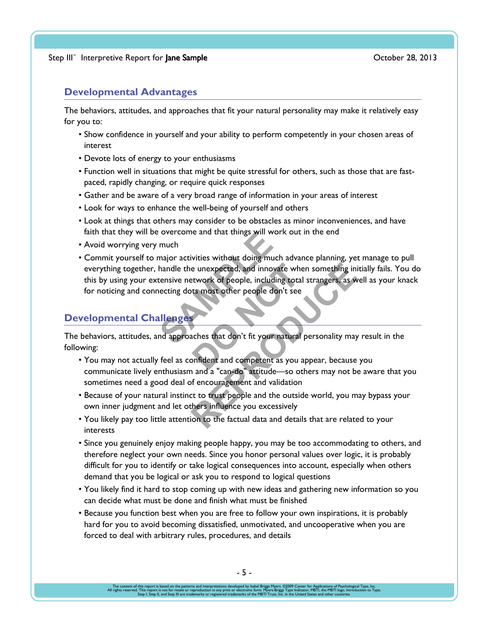#### **Developmental Advantages**

The behaviors, attitudes, and approaches that fit your natural personality may make it relatively easy for you to:

- Show confidence in yourself and your ability to perform competently in your chosen areas of interest
- Devote lots of energy to your enthusiasms
- Function well in situations that might be quite stressful for others, such as those that are fastpaced, rapidly changing, or require quick responses
- Gather and be aware of a very broad range of information in your areas of interest
- Look for ways to enhance the well-being of yourself and others
- Look at things that others may consider to be obstacles as minor inconveniences, and have faith that they will be overcome and that things will work out in the end
- Avoid worrying very much
- Commit yourself to major activities without doing much advance planning, yet manage to pull everything together, handle the unexpected, and innovate when something initially fails. You do this by using your extensive network of people, including total strangers, as well as your knack for noticing and connecting dots most other people don't see overcome and that things will worm<br>the major activities without doing much<br>handle the unexpected, and innovatensive network of people, includin<br>ecting dots most other people don<br>**allenges** e unexpected, and innovate where<br>twork of people, including total is<br>ts most other people don't see<br>thes that don't fit your natural position<br>of the state of the state of the state of the state of the state of the state of e unexpected, and innovate when something in<br>etwork of people, including total strangers, as we<br>to most other people don't see<br>aches that don't fit your natural personality may<br>antident and competent as you appear, because

## **Developmental Challenge**

The behaviors, attitudes, and approaches that don't fit your natural personality may result in the following:

- You may not actually feel as confident and competent as you appear, because you communicate lively enthusiasm and a "can-do" attitude—so others may not be aware that you sometimes need a good deal of encouragement and validation
- Because of your natural instinct to trust people and the outside world, you may bypass your own inner judgment and let others influence you excessively
- You likely pay too little attention to the factual data and details that are related to your interests
- Since you genuinely enjoy making people happy, you may be too accommodating to others, and therefore neglect your own needs. Since you honor personal values over logic, it is probably difficult for you to identify or take logical consequences into account, especially when others demand that you be logical or ask you to respond to logical questions
- You likely find it hard to stop coming up with new ideas and gathering new information so you can decide what must be done and finish what must be finished
- Because you function best when you are free to follow your own inspirations, it is probably hard for you to avoid becoming dissatisfied, unmotivated, and uncooperative when you are forced to deal with arbitrary rules, procedures, and details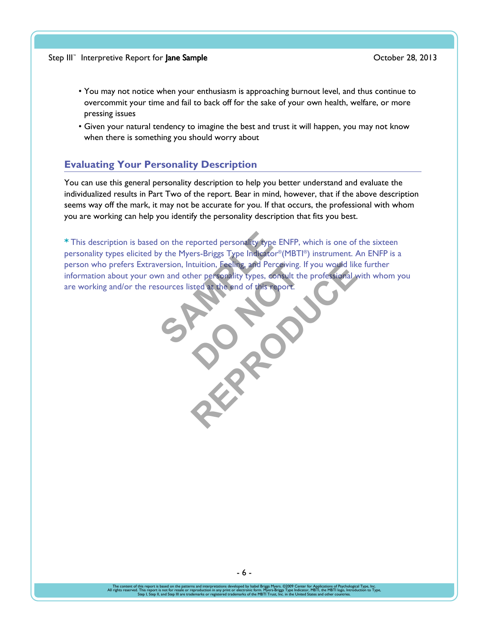- You may not notice when your enthusiasm is approaching burnout level, and thus continue to overcommit your time and fail to back off for the sake of your own health, welfare, or more pressing issues
- Given your natural tendency to imagine the best and trust it will happen, you may not know when there is something you should worry about

### **Evaluating Your Personality Description**

You can use this general personality description to help you better understand and evaluate the individualized results in Part Two of the report. Bear in mind, however, that if the above description seems way off the mark, it may not be accurate for you. If that occurs, the professional with whom you are working can help you identify the personality description that fits you best.

**\*** This description is based on the reported personality type ENFP, which is one of the sixteen personality types elicited by the Myers-Briggs Type Indicator® (MBTI® ) instrument. An ENFP is a person who prefers Extraversion, Intuition, Feeling, and Perceiving. If you would like further information about your own and other personality types, consult the professional with whom you are working and/or the resources listed at the end of this report. on the reported personality type B<br>y the Myers-Briggs Type Indicator®<br>ersion, Intuition, Feeling, and Perce<br>in and other personality types, con<br>sources listed at the end of this rep

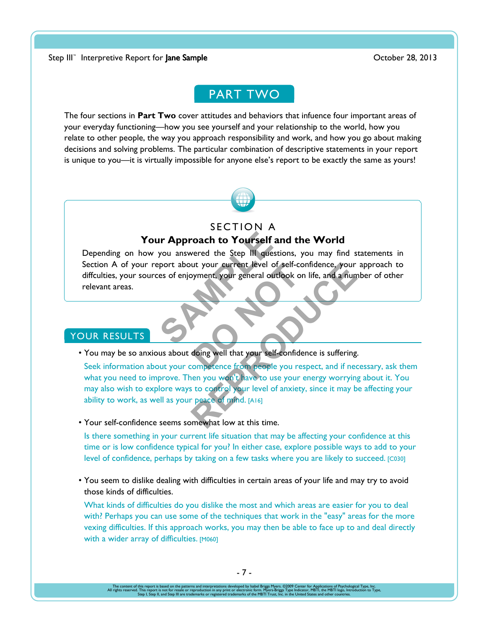## PART TWO

The four sections in **Part Two** cover attitudes and behaviors that infuence four important areas of your everyday functioning—how you see yourself and your relationship to the world, how you relate to other people, the way you approach responsibility and work, and how you go about making decisions and solving problems. The particular combination of descriptive statements in your report is unique to you—it is virtually impossible for anyone else's report to be exactly the same as yours!



#### SECTION A **Your Approach to Yourself and the World**

Depending on how you answered the Step III questions, you may find statements in Section A of your report about your current level of self-confidence, your approach to diffculties, your sources of enjoyment, your general outlook on life, and a number of other relevant areas. **SAMPLE CONSERVENT SERVICE CONSERVENT SERVICE SERVICE SERVICE SERVICE SERVICE SERVICE SERVICE SERVICE SERVICE SERVICE SERVICE SERVICE SERVICE SERVICE SERVICE SERVICE SERVICE SERVICE SERVICE SERVICE SERVICE SERVICE SERVICE** ut your current level of self-cor<br>
byment, your general outlook on<br>
doing well that your self-confider<br>
ompetence from people you resp

#### YOUR RESULTS

• You may be so anxious about doing well that your self-confidence is suffering.

Seek information about your competence from people you respect, and if necessary, ask them what you need to improve. Then you won't have to use your energy worrying about it. You may also wish to explore ways to control your level of anxiety, since it may be affecting your ability to work, as well as your peace of mind. [A16] The set of the set of the set of the set of the set of the set of the set of the set of the set of the set of the set of the set of the set of the set of the set of the set of the set of the set of the set of the set of th

• Your self-confidence seems somewhat low at this time.

Is there something in your current life situation that may be affecting your confidence at this time or is low confidence typical for you? In either case, explore possible ways to add to your level of confidence, perhaps by taking on a few tasks where you are likely to succeed. [C030]

• You seem to dislike dealing with difficulties in certain areas of your life and may try to avoid those kinds of difficulties.

What kinds of difficulties do you dislike the most and which areas are easier for you to deal with? Perhaps you can use some of the techniques that work in the "easy" areas for the more vexing difficulties. If this approach works, you may then be able to face up to and deal directly with a wider array of difficulties. [M060]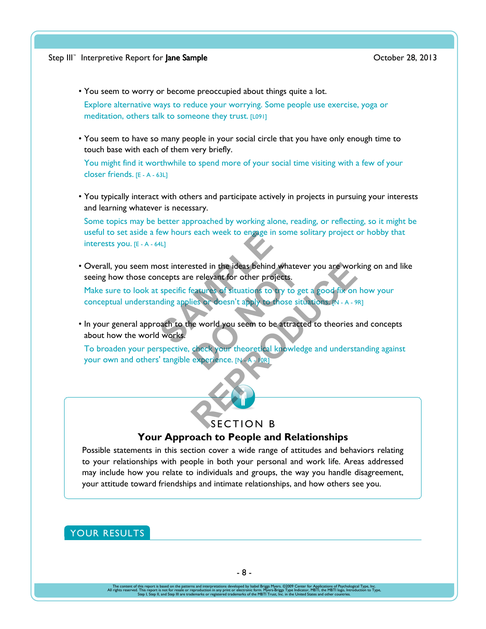• You seem to worry or become preoccupied about things quite a lot.

Explore alternative ways to reduce your worrying. Some people use exercise, yoga or meditation, others talk to someone they trust. [L091]

• You seem to have so many people in your social circle that you have only enough time to touch base with each of them very briefly.

You might find it worthwhile to spend more of your social time visiting with a few of your closer friends. [E - A - 63L]

• You typically interact with others and participate actively in projects in pursuing your interests and learning whatever is necessary.

Some topics may be better approached by working alone, reading, or reflecting, so it might be useful to set aside a few hours each week to engage in some solitary project or hobby that interests you. [E - A - 64L]

• Overall, you seem most interested in the ideas behind whatever you are working on and like seeing how those concepts are relevant for other projects. Experience to engage in s<br>
4L]<br>
14L]<br>
14L]<br>
13C ost interested in the ideas behind v<br>
13C ost interested in the ideas behind v<br>
13C ost in the social contract of structions to the<br>
13C of doesn't apply to the<br>
13C of doesn sted in the ideas behind whateve<br>
e relevant for other projects.<br>
eatures of situations to try to get<br>
ies or doesn't apply to those situ<br>
e world you seem to be attracte<br>
check your theoretical knowledg<br>
experience. [N-43 Sted in the ideas behind whatever you are world<br>
relevant for other projects.<br>
Figures of situations to try to get a good fix on<br>
lies or doesn't apply to those situations. [N - A - 9<br>
ies or doesn't apply to those situati

Make sure to look at specific features of situations to try to get a good fix on how your conceptual understanding applies or doesn't apply to those situations. [N - A - 9R]

• In your general approach to the world you seem to be attracted to theories and concepts about how the world works.

To broaden your perspective, check your theoretical knowledge and understanding against your own and others' tangible experience. [N - A - lor]



#### SECTION B

#### **Your Approach to People and Relationships**

Possible statements in this section cover a wide range of attitudes and behaviors relating to your relationships with people in both your personal and work life. Areas addressed may include how you relate to individuals and groups, the way you handle disagreement, your attitude toward friendships and intimate relationships, and how others see you.

YOUR RESULTS

The content of this report is based on the patterns and interpretations developed by Isabel Briggs Myers. ©2009 Center for Applications of Psychological Type, Inc.<br>All rights reserved. This report is not for resale or repr Step I, Step II, and Step III are trademarks or registered trademarks of the MBTI Trust, Inc. in the United States and other countries.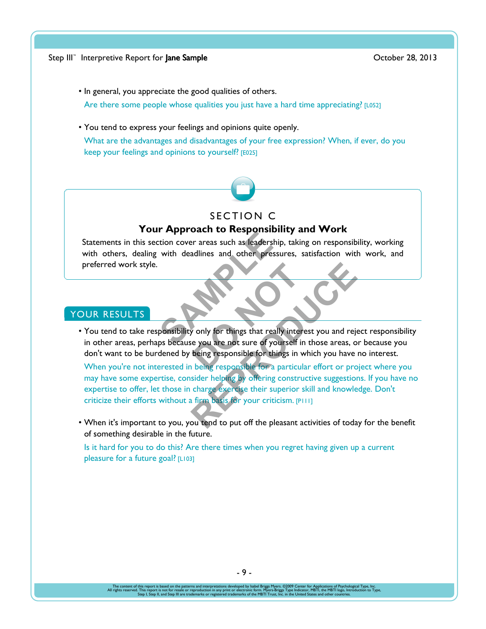- In general, you appreciate the good qualities of others. Are there some people whose qualities you just have a hard time appreciating? [L052]
- You tend to express your feelings and opinions quite openly. What are the advantages and disadvantages of your free expression? When, if ever, do you keep your feelings and opinions to yourself? [E025]

## SECTION C

#### **Your Approach to Responsibility and Work**

Statements in this section cover areas such as leadership, taking on responsibility, working with others, dealing with deadlines and other pressures, satisfaction with work, and preferred work style. **SAMPLE COLORED SEPARATION**<br>
STRIKE THE SERVER STRIKE THE SERVER SERVER SERVER SERVER SERVER SERVER SERVER SERVER SERVER SERVER SERVER SERVER SERVER SERVER SERVER SERVER SERVER SERVER SERVER SERVER SERVER SERVER SERVER SER

#### YOUR RESULTS

• You tend to take responsibility only for things that really interest you and reject responsibility in other areas, perhaps because you are not sure of yourself in those areas, or because you don't want to be burdened by being responsible for things in which you have no interest. **DO NOTE AND A SERVE AND A SERVE A SERVE A SERVE A SERVE A PARTICULAR CONTROLLER AND A DEALER THE PROPOSIBLE FOR A particular** 

When you're not interested in being responsible for a particular effort or project where you may have some expertise, consider helping by offering constructive suggestions. If you have no expertise to offer, let those in charge exercise their superior skill and knowledge. Don't criticize their efforts without a firm basis for your criticism. [P111] **REPRODUCED SERVICES**<br> **REPRODUCED SERVICES**<br> **REPRODUCED SERVICES**<br> **REPRODUCED SERVICES**<br> **REPRODUCED SERVICES**<br> **REPRODUCED SERVICES**<br> **REPRODUCED SERVICES**<br> **REPRODUCED**<br> **REPRODUCED**<br> **REPRODUCED**<br> **REPRODUCED**<br> **REPR** 

• When it's important to you, you tend to put off the pleasant activities of today for the benefit of something desirable in the future.

Is it hard for you to do this? Are there times when you regret having given up a current pleasure for a future goal? [L103]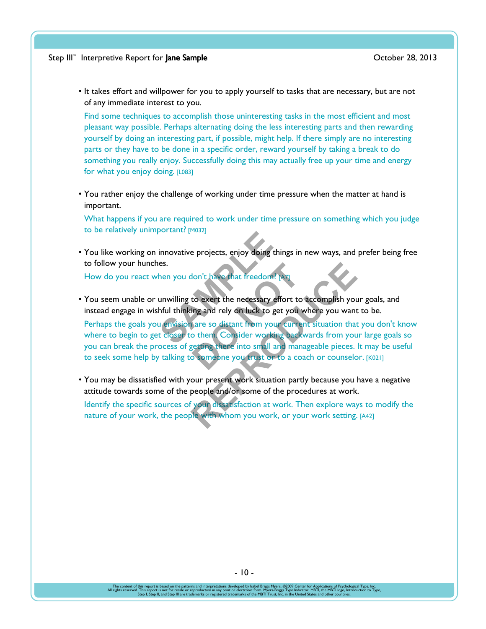• It takes effort and willpower for you to apply yourself to tasks that are necessary, but are not of any immediate interest to you.

Find some techniques to accomplish those uninteresting tasks in the most efficient and most pleasant way possible. Perhaps alternating doing the less interesting parts and then rewarding yourself by doing an interesting part, if possible, might help. If there simply are no interesting parts or they have to be done in a specific order, reward yourself by taking a break to do something you really enjoy. Successfully doing this may actually free up your time and energy for what you enjoy doing. [L083]

• You rather enjoy the challenge of working under time pressure when the matter at hand is important.

What happens if you are required to work under time pressure on something which you judge to be relatively unimportant? [M032]

• You like working on innovative projects, enjoy doing things in new ways, and prefer being free to follow your hunches.

How do you react when you don't have that freedom?

• You seem unable or unwilling to exert the necessary effort to accomplish your goals, and instead engage in wishful thinking and rely on luck to get you where you want to be.

Perhaps the goals you envision are so distant from your current situation that you don't know where to begin to get closer to them. Consider working backwards from your large goals so you can break the process of getting there into small and manageable pieces. It may be useful to seek some help by talking to someone you trust or to a coach or counselor. [K021] innovative projects, enjoy doing thi<br>es.<br>hen you don't have that freedom? p<br>unwilling to exert the necessary eff<br>hful thinking and rely on luck to get<br>a envision are so distant from your<br>t closer to them. Consider working **CONTAINSTANT CONTRANT EXECUTE 18 AND ADDENTURNATE CONTRANT CONTRANT CONTRANT CONTRANT CONTRANT CONTRANT CONTRANT CONTRANT CONTRANT CONTRANT CONTRANT CONTRANT CONTRANT CONTRANT CONTRANT CONTRANT CONTRANT CONTRANT CONTRANT** For the method of the method of the method of the method of the method of the method of the set you where you want are so distant from your current situation that o them. Consider working backwards from you getting there i

• You may be dissatisfied with your present work situation partly because you have a negative attitude towards some of the people and/or some of the procedures at work. Identify the specific sources of your dissatisfaction at work. Then explore ways to modify the

nature of your work, the people with whom you work, or your work setting. [A42]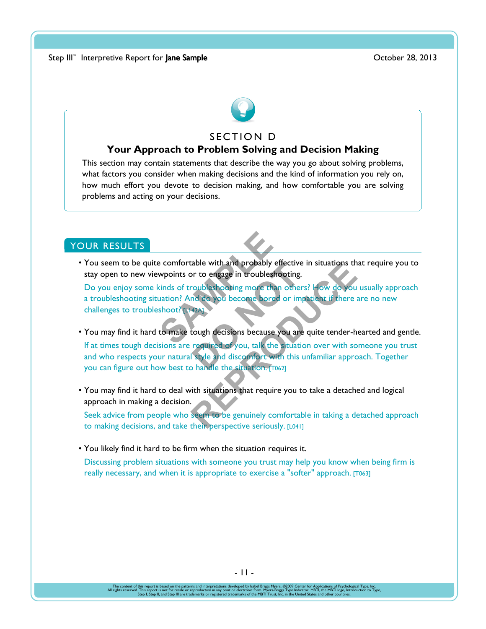

#### SECTION D

#### **Your Approach to Problem Solving and Decision Making**

This section may contain statements that describe the way you go about solving problems, what factors you consider when making decisions and the kind of information you rely on, how much effort you devote to decision making, and how comfortable you are solving problems and acting on your decisions.

#### YOUR RESULTS

• You seem to be quite comfortable with and probably effective in situations that require you to stay open to new viewpoints or to engage in troubleshooting.

Do you enjoy some kinds of troubleshooting more than others? How do you usually approach a troubleshooting situation? And do you become bored or impatient if there are no new challenges to troubleshoot? [L142A] Example the with and probably effective of the state of the state of the state of the state of the state of the state of the state of the state of the state of the state of the state of the state of the state of the state

- You may find it hard to make tough decisions because you are quite tender-hearted and gentle. If at times tough decisions are required of you, talk the situation over with someone you trust and who respects your natural style and discomfort with this unfamiliar approach. Together you can figure out how best to handle the situation. [T062] The with and probably enective introduced in troubleshooting.<br>
The cubleshooting more than others<br>
and do you become bored or implement<br>
and decisions because you are<br>
required of you, talk the situation<br>
style and discomf rable with and probably effective in situations the<br>pr to engage in troubleshooting.<br>
roubleshooting more than others? How do you<br>
and do you become bored or impatient if there a<br>
424]<br>
tough decisions because you are quit
- You may find it hard to deal with situations that require you to take a detached and logical approach in making a decision.

Seek advice from people who seem to be genuinely comfortable in taking a detached approach to making decisions, and take their perspective seriously. [L041]

• You likely find it hard to be firm when the situation requires it.

Discussing problem situations with someone you trust may help you know when being firm is really necessary, and when it is appropriate to exercise a "softer" approach. [T063]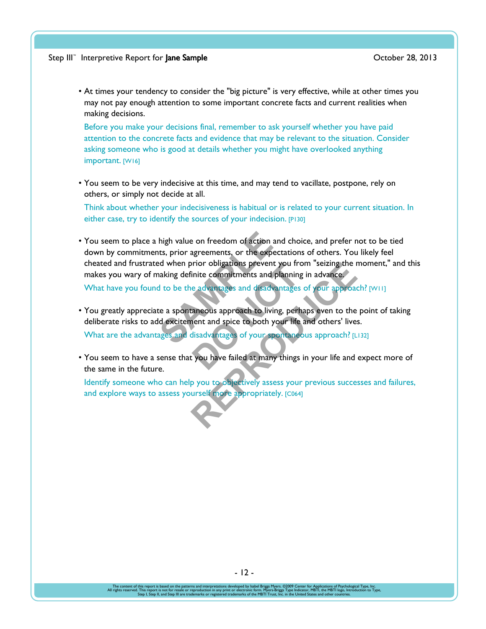• At times your tendency to consider the "big picture" is very effective, while at other times you may not pay enough attention to some important concrete facts and current realities when making decisions.

Before you make your decisions final, remember to ask yourself whether you have paid attention to the concrete facts and evidence that may be relevant to the situation. Consider asking someone who is good at details whether you might have overlooked anything important. [W16]

• You seem to be very indecisive at this time, and may tend to vacillate, postpone, rely on others, or simply not decide at all.

Think about whether your indecisiveness is habitual or is related to your current situation. In either case, try to identify the sources of your indecision. [P130]

• You seem to place a high value on freedom of action and choice, and prefer not to be tied down by commitments, prior agreements, or the expectations of others. You likely feel cheated and frustrated when prior obligations prevent you from "seizing the moment," and this makes you wary of making definite commitments and planning in advance. high value on freedom of action an<br>ts, prior agreements, or the expected<br>when prior obligations prevent y<br>aking definite commitments and pli<br>d to be the advantages and disadvar<br>ce a spontaneous approach to living<br>d excitem

What have you found to be the advantages and disadvantages of your approach? [W11]

- You greatly appreciate a spontaneous approach to living, perhaps even to the point of taking deliberate risks to add excitement and spice to both your life and others' lives. What are the advantages and disadvantages of your spontaneous approach? [L132] From obligations prevent you from<br>inite commitments and planning is<br>advantages and disadvantages of<br>aneous approach to living, perhaped<br>isadvantages of your spontaneous<br>disadvantages of your spontaneous<br>you have failed at prior obligations prevent you from "seizing the rinite commitments and planning in advance."<br>
Represent and disadvantages of your approach<br>
reaneous approach to living, perhaps even to the<br>
nent and spice to both your life
- You seem to have a sense that you have failed at many things in your life and expect more of the same in the future.

Identify someone who can help you to objectively assess your previous successes and failures, and explore ways to assess yourself more appropriately. [C064]